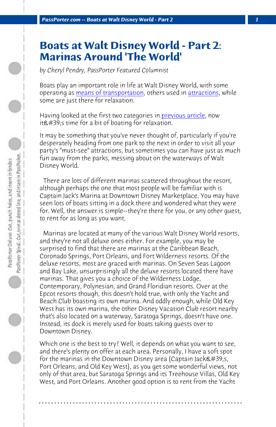*PassPorter.com -- Boats at Walt Disney World - Part 2 1*

## **Boats at Walt Disney World - Part 2: Marinas Around 'The World'**

*by Cheryl Pendry, PassPorter Featured Columnist*

Boats play an important role in life at Walt Disney World, with some operating as means of transportation, others used in attractions, while some are just there for relaxation.

Having looked at the first two categories in previous article, now  $it\&\#39$ ; stime for a bit of boating for relaxation.

It may be something that you've never thought of, particularly if you're desperately heading from one park to the next in order to visit all your party's "must-see" attractions, but sometimes you can have just as much fun away from the parks, messing about on the waterways of Walt Disney World.

 There are lots of different marinas scattered throughout the resort, although perhaps the one that most people will be familiar with is Captain Jack's Marina at Downtown Disney Marketplace. You may have seen lots of boats sitting in a dock there and wondered what they were for. Well, the answer is simple--they're there for you, or any other guest, to rent for as long as you want.

 Marinas are located at many of the various Walt Disney World resorts, and they're not all deluxe ones either. For example, you may be surprised to find that there are marinas at the Caribbean Beach, Coronado Springs, Port Orleans, and Fort Wilderness resorts. Of the deluxe resorts, most are graced with marinas. On Seven Seas Lagoon and Bay Lake, unsurprisingly all the deluxe resorts located there have marinas. That gives you a choice of the Wilderness Lodge, Contemporary, Polynesian, and Grand Floridian resorts. Over at the Epcot resorts though, this doesn't hold true, with only the Yacht and Beach Club boasting its own marina. And oddly enough, while Old Key West has its own marina, the other Disney Vacation Club resort nearby that's also located on a waterway, Saratoga Springs, doesn't have one. Instead, its dock is merely used for boats taking guests over to Downtown Disney.

Which one is the best to try? Well, it depends on what you want to see, and there's plenty on offer at each area. Personally, I have a soft spot for the marinas in the Downtown Disney area (Captain Jack $\&\#39$ ;s, Port Orleans, and Old Key West), as you get some wonderful views, not only of that area, but Saratoga Springs and its Treehouse Villas, Old Key West, and Port Orleans. Another good option is to rent from the Yacht

**. . . . . . . . . . . . . . . . . . . . . . . . . . . . . . . . . . . . . . . . . . . . . . . . . . . . . . . . . . . . . . . . . .**

PassPorter Spiral,: Car, trim at dotted line, and insert in PassPocket...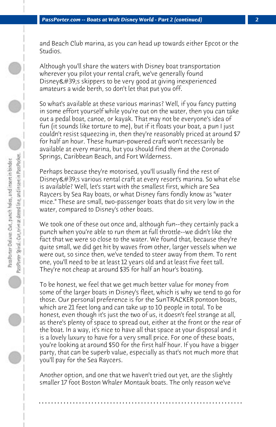and Beach Club marina, as you can head up towards either Epcot or the Studios.

Although you'll share the waters with Disney boat transportation wherever you pilot your rental craft, we've generally found Disney & #39; s skippers to be very good at giving inexperienced amateurs a wide berth, so don't let that put you off.

So what's available at these various marinas? Well, if you fancy putting in some effort yourself while you're out on the water, then you can take out a pedal boat, canoe, or kayak. That may not be everyone's idea of fun (it sounds like torture to me), but if it floats your boat, a pun I just couldn't resist squeezing in, then they're reasonably priced at around \$7 for half an hour. These human-powered craft won't necessarily be available at every marina, but you should find them at the Coronado Springs, Caribbean Beach, and Fort Wilderness.

Perhaps because they're motorised, you'll usually find the rest of Disney' svarious rental craft at every resort's marina. So what else is available? Well, let's start with the smallest first, which are Sea Raycers by Sea Ray boats, or what Disney fans fondly know as "water mice." These are small, two-passenger boats that do sit very low in the water, compared to Disney's other boats.

We took one of these out once and, although fun--they certainly pack a punch when you're able to run them at full throttle--we didn't like the fact that we were so close to the water. We found that, because they're quite small, we did get hit by waves from other, larger vessels when we were out, so since then, we've tended to steer away from them. To rent one, you'll need to be at least 12 years old and at least five feet tall. They're not cheap at around \$35 for half an hour's boating.

To be honest, we feel that we get much better value for money from some of the larger boats in Disney's fleet, which is why we tend to go for those. Our personal preference is for the SunTRACKER pontoon boats, which are 21 feet long and can take up to 10 people in total. To be honest, even though it's just the two of us, it doesn't feel strange at all, as there's plenty of space to spread out, either at the front or the rear of the boat. In a way, it's nice to have all that space at your disposal and it is a lovely luxury to have for a very small price. For one of these boats, you're looking at around \$50 for the first half hour. If you have a bigger party, that can be superb value, especially as that's not much more that you'll pay for the Sea Raycers.

Another option, and one that we haven't tried out yet, are the slightly smaller 17 foot Boston Whaler Montauk boats. The only reason we've

**. . . . . . . . . . . . . . . . . . . . . . . . . . . . . . . . . . . . . . . . . . . . . . . . . . . . . . . . . . . . . . . . . .**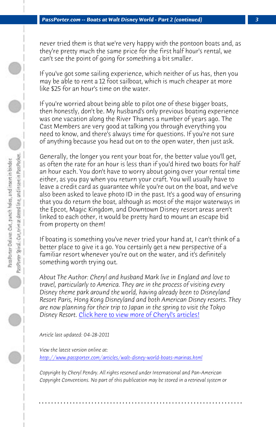*PassPorter.com -- Boats at Walt Disney World - Part 2 (continued) 3*

never tried them is that we're very happy with the pontoon boats and, as they're pretty much the same price for the first half hour's rental, we can't see the point of going for something a bit smaller.

If you've got some sailing experience, which neither of us has, then you may be able to rent a 12 foot sailboat, which is much cheaper at more like \$25 for an hour's time on the water.

If you're worried about being able to pilot one of these bigger boats, then honestly, don't be. My husband's only previous boating experience was one vacation along the River Thames a number of years ago. The Cast Members are very good at talking you through everything you need to know, and there's always time for questions. If you're not sure of anything because you head out on to the open water, then just ask.

Generally, the longer you rent your boat for, the better value you'll get, as often the rate for an hour is less than if you'd hired two boats for half an hour each. You don't have to worry about going over your rental time either, as you pay when you return your craft. You will usually have to leave a credit [card as guarantee while you're out on the bo](http://www.passporter.com/articles/cheryl-pendry-featured-columnist.asp)at, and we've also been asked to leave photo ID in the past. It's a good way of ensuring that you do return the boat, although as most of the major waterways in the Epcot, Magic Kingdom, and Downtown Disney resort areas aren't linked to each other, it would be pretty hard to mount an escape bid from property on them!

If boating is something you've never tried your hand at, I can't think of a better place to give it a go. You certainly get a new perspective of a familiar resort whenever you're out on the water, and it's definitely something worth trying out.

*About The Author: Cheryl and husband Mark live in England and love to travel, particularly to America. They are in the process of visiting every Disney theme park around the world, having already been to Disneyland Resort Paris, Hong Kong Disneyland and both American Disney resorts. They are now planning for their trip to Japan in the spring to visit the Tokyo Disney Resort.* Click here to view more of Cheryl's articles!

*Article last updated: 04-28-2011*

*View the latest version online at: http://www.passporter.com/articles/walt-disney-world-boats-marinas.html*

*Copyright by Cheryl Pendry. All rights reserved under International and Pan-American Copyright Conventions. No part of this publication may be stored in a retrieval system or*

**. . . . . . . . . . . . . . . . . . . . . . . . . . . . . . . . . . . . . . . . . . . . . . . . . . . . . . . . . . . . . . . . . .**